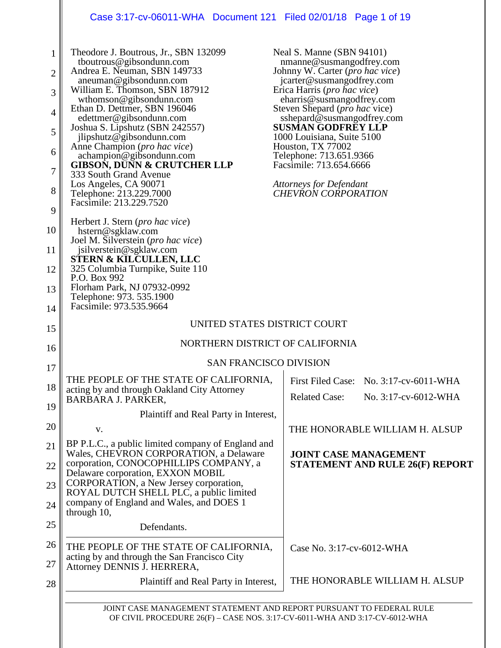# Case 3:17-cv-06011-WHA Document 121 Filed 02/01/18 Page 1 of 19

 $\parallel$ 

| $\mathbf{1}$<br>$\overline{2}$<br>3<br>$\overline{4}$ | Theodore J. Boutrous, Jr., SBN 132099<br>tboutrous@gibsondunn.com<br>Andrea E. Neuman, SBN 149733<br>aneuman@gibsondunn.com<br>William E. Thomson, SBN 187912<br>wthomson@gibsondunn.com<br>Ethan D. Dettmer, SBN 196046<br>edettmer@gibsondunn.com | Neal S. Manne (SBN 94101)<br>nmanne@susmangodfrey.com<br>Johnny W. Carter (pro hac vice)<br>jcarter@susmangodfrey.com<br>Erica Harris (pro hac vice)<br>eharris@susmangodfrey.com<br>Steven Shepard ( <i>pro hac</i> vice)<br>sshepard@susmangodfrey.com |  |
|-------------------------------------------------------|-----------------------------------------------------------------------------------------------------------------------------------------------------------------------------------------------------------------------------------------------------|----------------------------------------------------------------------------------------------------------------------------------------------------------------------------------------------------------------------------------------------------------|--|
| 5                                                     | Joshua S. Lipshutz (SBN 242557)<br>jlipshutz@gibsondunn.com<br>Anne Champion (pro hac vice)                                                                                                                                                         | <b>SUSMAN GODFREY LLP</b><br>1000 Louisiana, Suite 5100<br>Houston, TX 77002                                                                                                                                                                             |  |
| 6<br>7                                                | achampion@gibsondunn.com<br><b>GIBSON, DUNN &amp; CRUTCHER LLP</b>                                                                                                                                                                                  | Telephone: 713.651.9366<br>Facsimile: 713.654.6666                                                                                                                                                                                                       |  |
| 8                                                     | 333 South Grand Avenue<br>Los Angeles, CA 90071<br>Telephone: 213.229.7000<br>Facsimile: 213.229.7520                                                                                                                                               | Attorneys for Defendant<br><b>CHEVRON CORPORATION</b>                                                                                                                                                                                                    |  |
| 9                                                     |                                                                                                                                                                                                                                                     |                                                                                                                                                                                                                                                          |  |
| 10                                                    | Herbert J. Stern (pro hac vice)<br>hstern@sgklaw.com<br>Joel M. Silverstein (pro hac vice)                                                                                                                                                          |                                                                                                                                                                                                                                                          |  |
| 11                                                    | jsilverstein@sgklaw.com                                                                                                                                                                                                                             |                                                                                                                                                                                                                                                          |  |
| 12                                                    | <b>STERN &amp; KILCULLEN, LLC</b><br>325 Columbia Turnpike, Suite 110<br>P.O. Box 992                                                                                                                                                               |                                                                                                                                                                                                                                                          |  |
| 13                                                    | Florham Park, NJ 07932-0992<br>Telephone: 973. 535.1900                                                                                                                                                                                             |                                                                                                                                                                                                                                                          |  |
| 14                                                    | Facsimile: 973.535.9664                                                                                                                                                                                                                             |                                                                                                                                                                                                                                                          |  |
| 15                                                    | UNITED STATES DISTRICT COURT                                                                                                                                                                                                                        |                                                                                                                                                                                                                                                          |  |
| 16                                                    | NORTHERN DISTRICT OF CALIFORNIA                                                                                                                                                                                                                     |                                                                                                                                                                                                                                                          |  |
| 17                                                    | <b>SAN FRANCISCO DIVISION</b>                                                                                                                                                                                                                       |                                                                                                                                                                                                                                                          |  |
| 18                                                    | THE PEOPLE OF THE STATE OF CALIFORNIA,<br>acting by and through Oakland City Attorney<br><b>BARBARA J. PARKER,</b>                                                                                                                                  | First Filed Case: No. 3:17-cv-6011-WHA<br><b>Related Case:</b><br>No. 3:17-cv-6012-WHA                                                                                                                                                                   |  |
| 19                                                    | Plaintiff and Real Party in Interest,                                                                                                                                                                                                               |                                                                                                                                                                                                                                                          |  |
| 20                                                    | V.                                                                                                                                                                                                                                                  | THE HONORABLE WILLIAM H. ALSUP                                                                                                                                                                                                                           |  |
| 21                                                    | BP P.L.C., a public limited company of England and<br>Wales, CHEVRON CORPORATION, a Delaware                                                                                                                                                        | <b>JOINT CASE MANAGEMENT</b>                                                                                                                                                                                                                             |  |
| 22                                                    | corporation, CONOCOPHILLIPS COMPANY, a<br>Delaware corporation, EXXON MOBIL                                                                                                                                                                         | <b>STATEMENT AND RULE 26(F) REPORT</b>                                                                                                                                                                                                                   |  |
| 23                                                    | CORPORATION, a New Jersey corporation,<br>ROYAL DUTCH SHELL PLC, a public limited                                                                                                                                                                   |                                                                                                                                                                                                                                                          |  |
| 24                                                    | company of England and Wales, and DOES 1<br>through 10,                                                                                                                                                                                             |                                                                                                                                                                                                                                                          |  |
| 25                                                    | Defendants.                                                                                                                                                                                                                                         |                                                                                                                                                                                                                                                          |  |
| 26<br>27                                              | THE PEOPLE OF THE STATE OF CALIFORNIA,<br>acting by and through the San Francisco City<br>Attorney DENNIS J. HERRERA,                                                                                                                               | Case No. 3:17-cv-6012-WHA                                                                                                                                                                                                                                |  |
|                                                       |                                                                                                                                                                                                                                                     | THE HONORABLE WILLIAM H. ALSUP                                                                                                                                                                                                                           |  |
| 28                                                    | Plaintiff and Real Party in Interest,                                                                                                                                                                                                               |                                                                                                                                                                                                                                                          |  |
|                                                       | JOINT CASE MANAGEMENT STATEMENT AND REPORT PURSUANT TO FEDERAL RULE<br>OF CIVIL PROCEDURE 26(F) - CASE NOS. 3:17-CV-6011-WHA AND 3:17-CV-6012-WHA                                                                                                   |                                                                                                                                                                                                                                                          |  |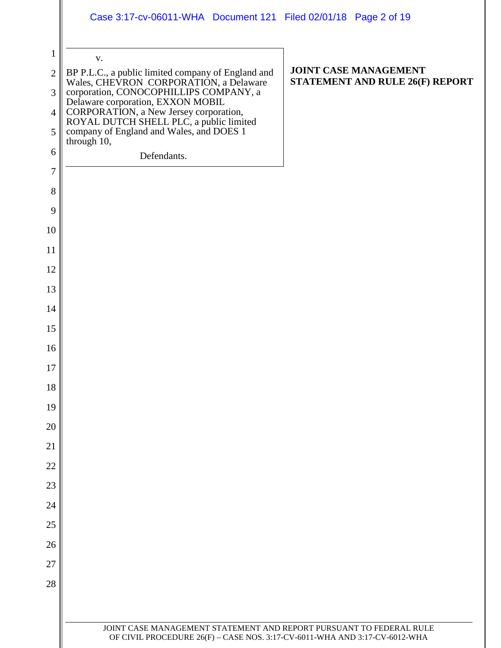### Case 3:17-cv-06011-WHA Document 121 Filed 02/01/18 Page 2 of 19

| 1              | V.                                                                                                                                                                                                                                            |                                                                 |
|----------------|-----------------------------------------------------------------------------------------------------------------------------------------------------------------------------------------------------------------------------------------------|-----------------------------------------------------------------|
| $\overline{2}$ | BP P.L.C., a public limited company of England and<br>Wales, CHEVRON CORPORATION, a Delaware<br>corporation, CONOCOPHILLIPS COMPANY, a<br>Delaware corporation, EXXON MOBIL<br>CORPORATION, a New Jersey corporation,<br>ROYAL DUTCH SHELL PL | <b>JOINT CASE MANAGEMENT</b><br>STATEMENT AND RULE 26(F) REPORT |
| 3              |                                                                                                                                                                                                                                               |                                                                 |
| $\overline{4}$ |                                                                                                                                                                                                                                               |                                                                 |
| 5              | through 10,                                                                                                                                                                                                                                   |                                                                 |
| 6              | Defendants.                                                                                                                                                                                                                                   |                                                                 |
| 7              |                                                                                                                                                                                                                                               |                                                                 |
| $8\,$          |                                                                                                                                                                                                                                               |                                                                 |
| 9              |                                                                                                                                                                                                                                               |                                                                 |
| 10             |                                                                                                                                                                                                                                               |                                                                 |
| 11             |                                                                                                                                                                                                                                               |                                                                 |
| 12             |                                                                                                                                                                                                                                               |                                                                 |
| 13             |                                                                                                                                                                                                                                               |                                                                 |
| 14             |                                                                                                                                                                                                                                               |                                                                 |
| 15             |                                                                                                                                                                                                                                               |                                                                 |
| 16             |                                                                                                                                                                                                                                               |                                                                 |
| 17             |                                                                                                                                                                                                                                               |                                                                 |
| 18             |                                                                                                                                                                                                                                               |                                                                 |
| 19             |                                                                                                                                                                                                                                               |                                                                 |
| 20             |                                                                                                                                                                                                                                               |                                                                 |
| 21             |                                                                                                                                                                                                                                               |                                                                 |
| 22             |                                                                                                                                                                                                                                               |                                                                 |
| 23             |                                                                                                                                                                                                                                               |                                                                 |
| 24             |                                                                                                                                                                                                                                               |                                                                 |
| 25             |                                                                                                                                                                                                                                               |                                                                 |
| 26             |                                                                                                                                                                                                                                               |                                                                 |
| 27             |                                                                                                                                                                                                                                               |                                                                 |
| 28             |                                                                                                                                                                                                                                               |                                                                 |
|                |                                                                                                                                                                                                                                               |                                                                 |
|                | JOINT CASE MANAGEMENT STATEMENT AND REPORT PURSUANT TO FEDERAL RULE                                                                                                                                                                           |                                                                 |
|                | OF CIVIL PROCEDURE 26(F) - CASE NOS. 3:17-CV-6011-WHA AND 3:17-CV-6012-WHA                                                                                                                                                                    |                                                                 |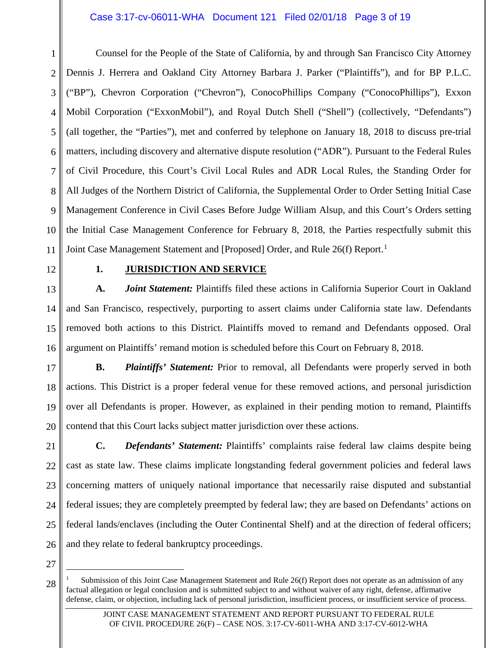#### Case 3:17-cv-06011-WHA Document 121 Filed 02/01/18 Page 3 of 19

1 2 3 4 5 6 7 8 9 10 11 Counsel for the People of the State of California, by and through San Francisco City Attorney Dennis J. Herrera and Oakland City Attorney Barbara J. Parker ("Plaintiffs"), and for BP P.L.C. ("BP"), Chevron Corporation ("Chevron"), ConocoPhillips Company ("ConocoPhillips"), Exxon Mobil Corporation ("ExxonMobil"), and Royal Dutch Shell ("Shell") (collectively, "Defendants") (all together, the "Parties"), met and conferred by telephone on January 18, 2018 to discuss pre-trial matters, including discovery and alternative dispute resolution ("ADR"). Pursuant to the Federal Rules of Civil Procedure, this Court's Civil Local Rules and ADR Local Rules, the Standing Order for All Judges of the Northern District of California, the Supplemental Order to Order Setting Initial Case Management Conference in Civil Cases Before Judge William Alsup, and this Court's Orders setting the Initial Case Management Conference for February 8, 2018, the Parties respectfully submit this Joint Case Management Statement and [Proposed] Order, and Rule 26(f) Report.<sup>[1](#page-2-0)</sup>

12

#### **1. JURISDICTION AND SERVICE**

13 14 15 16 **A.** *Joint Statement:* Plaintiffs filed these actions in California Superior Court in Oakland and San Francisco, respectively, purporting to assert claims under California state law. Defendants removed both actions to this District. Plaintiffs moved to remand and Defendants opposed. Oral argument on Plaintiffs' remand motion is scheduled before this Court on February 8, 2018.

17 18 19 20 **B.** *Plaintiffs' Statement:* Prior to removal, all Defendants were properly served in both actions. This District is a proper federal venue for these removed actions, and personal jurisdiction over all Defendants is proper. However, as explained in their pending motion to remand, Plaintiffs contend that this Court lacks subject matter jurisdiction over these actions.

21 22 23 24 25 26 **C.** *Defendants' Statement:* Plaintiffs' complaints raise federal law claims despite being cast as state law. These claims implicate longstanding federal government policies and federal laws concerning matters of uniquely national importance that necessarily raise disputed and substantial federal issues; they are completely preempted by federal law; they are based on Defendants' actions on federal lands/enclaves (including the Outer Continental Shelf) and at the direction of federal officers; and they relate to federal bankruptcy proceedings.

27

<span id="page-2-0"></span><sup>28</sup>  Submission of this Joint Case Management Statement and Rule 26(f) Report does not operate as an admission of any factual allegation or legal conclusion and is submitted subject to and without waiver of any right, defense, affirmative defense, claim, or objection, including lack of personal jurisdiction, insufficient process, or insufficient service of process.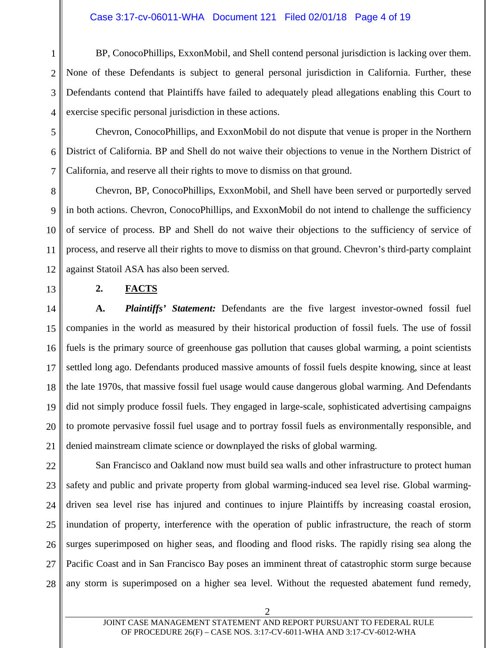#### Case 3:17-cv-06011-WHA Document 121 Filed 02/01/18 Page 4 of 19

1 2 3 4 BP, ConocoPhillips, ExxonMobil, and Shell contend personal jurisdiction is lacking over them. None of these Defendants is subject to general personal jurisdiction in California. Further, these Defendants contend that Plaintiffs have failed to adequately plead allegations enabling this Court to exercise specific personal jurisdiction in these actions.

5 6 7 Chevron, ConocoPhillips, and ExxonMobil do not dispute that venue is proper in the Northern District of California. BP and Shell do not waive their objections to venue in the Northern District of California, and reserve all their rights to move to dismiss on that ground.

8 9 10 11 12 Chevron, BP, ConocoPhillips, ExxonMobil, and Shell have been served or purportedly served in both actions. Chevron, ConocoPhillips, and ExxonMobil do not intend to challenge the sufficiency of service of process. BP and Shell do not waive their objections to the sufficiency of service of process, and reserve all their rights to move to dismiss on that ground. Chevron's third-party complaint against Statoil ASA has also been served.

13

#### **2. FACTS**

14 15 16 17 18 19 20 21 **A.** *Plaintiffs' Statement:* Defendants are the five largest investor-owned fossil fuel companies in the world as measured by their historical production of fossil fuels. The use of fossil fuels is the primary source of greenhouse gas pollution that causes global warming, a point scientists settled long ago. Defendants produced massive amounts of fossil fuels despite knowing, since at least the late 1970s, that massive fossil fuel usage would cause dangerous global warming. And Defendants did not simply produce fossil fuels. They engaged in large-scale, sophisticated advertising campaigns to promote pervasive fossil fuel usage and to portray fossil fuels as environmentally responsible, and denied mainstream climate science or downplayed the risks of global warming.

22 23 24 25 26 27 28 San Francisco and Oakland now must build sea walls and other infrastructure to protect human safety and public and private property from global warming-induced sea level rise. Global warmingdriven sea level rise has injured and continues to injure Plaintiffs by increasing coastal erosion, inundation of property, interference with the operation of public infrastructure, the reach of storm surges superimposed on higher seas, and flooding and flood risks. The rapidly rising sea along the Pacific Coast and in San Francisco Bay poses an imminent threat of catastrophic storm surge because any storm is superimposed on a higher sea level. Without the requested abatement fund remedy,

2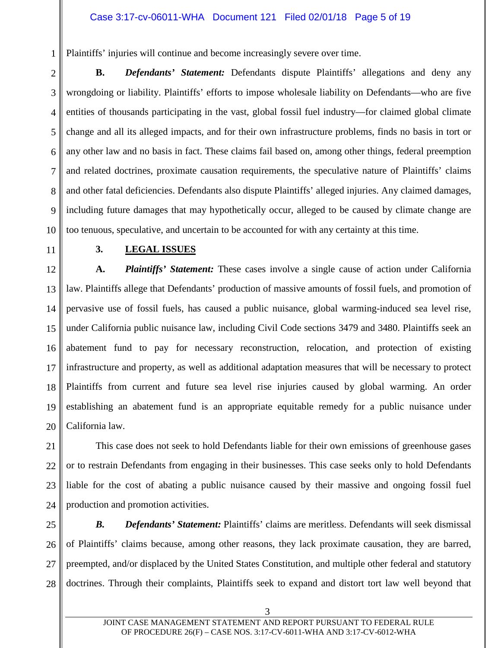#### Case 3:17-cv-06011-WHA Document 121 Filed 02/01/18 Page 5 of 19

Plaintiffs' injuries will continue and become increasingly severe over time.

2 3 4 5 6 7 8 9 10 **B.** *Defendants' Statement:* Defendants dispute Plaintiffs' allegations and deny any wrongdoing or liability. Plaintiffs' efforts to impose wholesale liability on Defendants—who are five entities of thousands participating in the vast, global fossil fuel industry—for claimed global climate change and all its alleged impacts, and for their own infrastructure problems, finds no basis in tort or any other law and no basis in fact. These claims fail based on, among other things, federal preemption and related doctrines, proximate causation requirements, the speculative nature of Plaintiffs' claims and other fatal deficiencies. Defendants also dispute Plaintiffs' alleged injuries. Any claimed damages, including future damages that may hypothetically occur, alleged to be caused by climate change are too tenuous, speculative, and uncertain to be accounted for with any certainty at this time.

11

1

### **3. LEGAL ISSUES**

12 13 14 15 16 17 18 19 20 **A.** *Plaintiffs' Statement:* These cases involve a single cause of action under California law. Plaintiffs allege that Defendants' production of massive amounts of fossil fuels, and promotion of pervasive use of fossil fuels, has caused a public nuisance, global warming-induced sea level rise, under California public nuisance law, including Civil Code sections 3479 and 3480. Plaintiffs seek an abatement fund to pay for necessary reconstruction, relocation, and protection of existing infrastructure and property, as well as additional adaptation measures that will be necessary to protect Plaintiffs from current and future sea level rise injuries caused by global warming. An order establishing an abatement fund is an appropriate equitable remedy for a public nuisance under California law.

21 22 23 24 This case does not seek to hold Defendants liable for their own emissions of greenhouse gases or to restrain Defendants from engaging in their businesses. This case seeks only to hold Defendants liable for the cost of abating a public nuisance caused by their massive and ongoing fossil fuel production and promotion activities.

25 26 27 28 **B.** *Defendants' Statement: Plaintiffs' claims are meritless. Defendants will seek dismissal* of Plaintiffs' claims because, among other reasons, they lack proximate causation, they are barred, preempted, and/or displaced by the United States Constitution, and multiple other federal and statutory doctrines. Through their complaints, Plaintiffs seek to expand and distort tort law well beyond that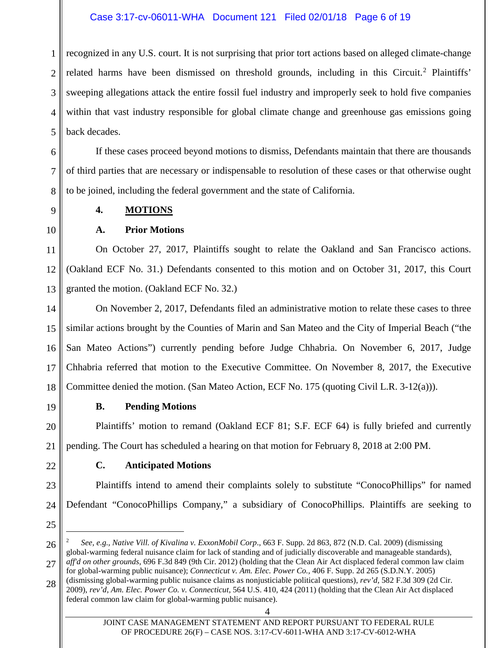#### Case 3:17-cv-06011-WHA Document 121 Filed 02/01/18 Page 6 of 19

1 2 3 4 5 recognized in any U.S. court. It is not surprising that prior tort actions based on alleged climate-change related harms have been dismissed on threshold grounds, including in this Circuit.<sup>[2](#page-5-0)</sup> Plaintiffs' sweeping allegations attack the entire fossil fuel industry and improperly seek to hold five companies within that vast industry responsible for global climate change and greenhouse gas emissions going back decades.

6 7 8 If these cases proceed beyond motions to dismiss, Defendants maintain that there are thousands of third parties that are necessary or indispensable to resolution of these cases or that otherwise ought to be joined, including the federal government and the state of California.

9

#### **4. MOTIONS**

10

### **A. Prior Motions**

11 12 13 On October 27, 2017, Plaintiffs sought to relate the Oakland and San Francisco actions. (Oakland ECF No. 31.) Defendants consented to this motion and on October 31, 2017, this Court granted the motion. (Oakland ECF No. 32.)

14 15 16 17 18 On November 2, 2017, Defendants filed an administrative motion to relate these cases to three similar actions brought by the Counties of Marin and San Mateo and the City of Imperial Beach ("the San Mateo Actions") currently pending before Judge Chhabria. On November 6, 2017, Judge Chhabria referred that motion to the Executive Committee. On November 8, 2017, the Executive Committee denied the motion. (San Mateo Action, ECF No. 175 (quoting Civil L.R. 3-12(a))).

19

### **B. Pending Motions**

20 21 Plaintiffs' motion to remand (Oakland ECF 81; S.F. ECF 64) is fully briefed and currently pending. The Court has scheduled a hearing on that motion for February 8, 2018 at 2:00 PM.

22

### **C. Anticipated Motions**

23 24 Plaintiffs intend to amend their complaints solely to substitute "ConocoPhillips" for named Defendant "ConocoPhillips Company," a subsidiary of ConocoPhillips. Plaintiffs are seeking to

25

<span id="page-5-0"></span><sup>26</sup>  <sup>2</sup> *See, e.g., Native Vill. of Kivalina v. ExxonMobil Corp*., 663 F. Supp. 2d 863, 872 (N.D. Cal. 2009) (dismissing global-warming federal nuisance claim for lack of standing and of judicially discoverable and manageable standards), *aff'd on other grounds*, 696 F.3d 849 (9th Cir. 2012) (holding that the Clean Air Act displaced federal common law claim

<sup>27</sup>  for global-warming public nuisance); *Connecticut v. Am. Elec. Power Co.,* 406 F. Supp. 2d 265 (S.D.N.Y. 2005) (dismissing global-warming public nuisance claims as nonjusticiable political questions), *rev'd,* 582 F.3d 309 (2d Cir.

<sup>28</sup>  2009), *rev'd*, *Am. Elec. Power Co. v. Connecticut*, 564 U.S. 410, 424 (2011) (holding that the Clean Air Act displaced federal common law claim for global-warming public nuisance).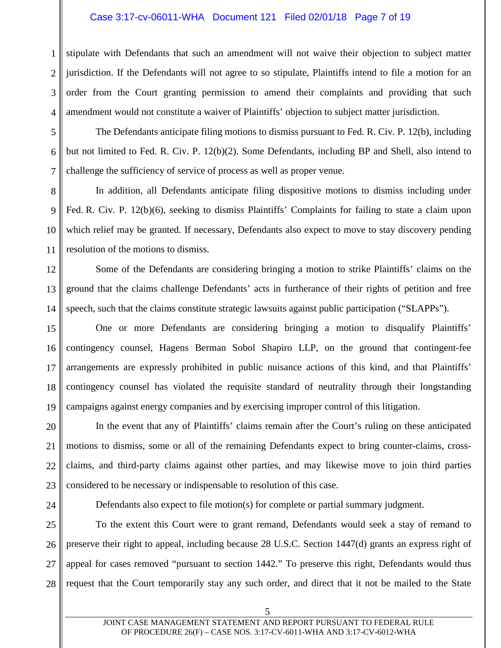#### Case 3:17-cv-06011-WHA Document 121 Filed 02/01/18 Page 7 of 19

1 2 3 4 stipulate with Defendants that such an amendment will not waive their objection to subject matter jurisdiction. If the Defendants will not agree to so stipulate, Plaintiffs intend to file a motion for an order from the Court granting permission to amend their complaints and providing that such amendment would not constitute a waiver of Plaintiffs' objection to subject matter jurisdiction.

5 6 7 The Defendants anticipate filing motions to dismiss pursuant to Fed. R. Civ. P. 12(b), including but not limited to Fed. R. Civ. P. 12(b)(2). Some Defendants, including BP and Shell, also intend to challenge the sufficiency of service of process as well as proper venue.

8 9 10 11 In addition, all Defendants anticipate filing dispositive motions to dismiss including under Fed. R. Civ. P. 12(b)(6), seeking to dismiss Plaintiffs' Complaints for failing to state a claim upon which relief may be granted. If necessary, Defendants also expect to move to stay discovery pending resolution of the motions to dismiss.

12 13 14 Some of the Defendants are considering bringing a motion to strike Plaintiffs' claims on the ground that the claims challenge Defendants' acts in furtherance of their rights of petition and free speech, such that the claims constitute strategic lawsuits against public participation ("SLAPPs").

15 16 17 18 19 One or more Defendants are considering bringing a motion to disqualify Plaintiffs' contingency counsel, Hagens Berman Sobol Shapiro LLP, on the ground that contingent-fee arrangements are expressly prohibited in public nuisance actions of this kind, and that Plaintiffs' contingency counsel has violated the requisite standard of neutrality through their longstanding campaigns against energy companies and by exercising improper control of this litigation.

20 21 22 23 In the event that any of Plaintiffs' claims remain after the Court's ruling on these anticipated motions to dismiss, some or all of the remaining Defendants expect to bring counter-claims, crossclaims, and third-party claims against other parties, and may likewise move to join third parties considered to be necessary or indispensable to resolution of this case.

24

Defendants also expect to file motion(s) for complete or partial summary judgment.

25 26 27 28 To the extent this Court were to grant remand, Defendants would seek a stay of remand to preserve their right to appeal, including because 28 U.S.C. Section 1447(d) grants an express right of appeal for cases removed "pursuant to section 1442." To preserve this right, Defendants would thus request that the Court temporarily stay any such order, and direct that it not be mailed to the State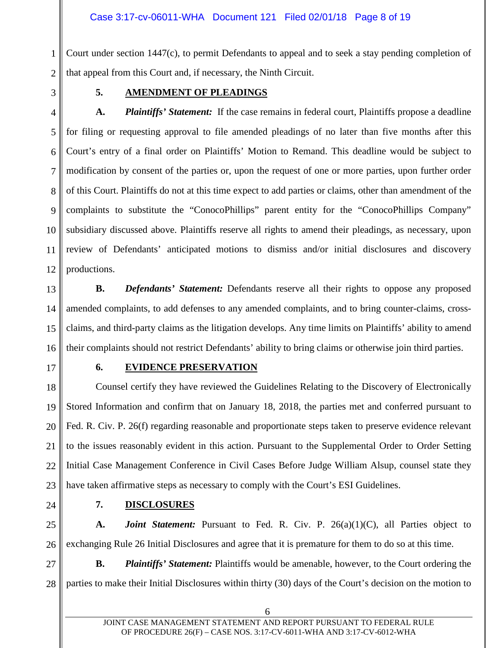1 2 Court under section 1447(c), to permit Defendants to appeal and to seek a stay pending completion of that appeal from this Court and, if necessary, the Ninth Circuit.

3

#### **5. AMENDMENT OF PLEADINGS**

4 5 6 7 8 9 10 11 12 A. Plaintiffs' Statement: If the case remains in federal court, Plaintiffs propose a deadline for filing or requesting approval to file amended pleadings of no later than five months after this Court's entry of a final order on Plaintiffs' Motion to Remand. This deadline would be subject to modification by consent of the parties or, upon the request of one or more parties, upon further order of this Court. Plaintiffs do not at this time expect to add parties or claims, other than amendment of the complaints to substitute the "ConocoPhillips" parent entity for the "ConocoPhillips Company" subsidiary discussed above. Plaintiffs reserve all rights to amend their pleadings, as necessary, upon review of Defendants' anticipated motions to dismiss and/or initial disclosures and discovery productions.

13 14 15 16 **B.** *Defendants' Statement:* Defendants reserve all their rights to oppose any proposed amended complaints, to add defenses to any amended complaints, and to bring counter-claims, crossclaims, and third-party claims as the litigation develops. Any time limits on Plaintiffs' ability to amend their complaints should not restrict Defendants' ability to bring claims or otherwise join third parties.

17

#### **6. EVIDENCE PRESERVATION**

18 19 20 21 22 23 Counsel certify they have reviewed the Guidelines Relating to the Discovery of Electronically Stored Information and confirm that on January 18, 2018, the parties met and conferred pursuant to Fed. R. Civ. P. 26(f) regarding reasonable and proportionate steps taken to preserve evidence relevant to the issues reasonably evident in this action. Pursuant to the Supplemental Order to Order Setting Initial Case Management Conference in Civil Cases Before Judge William Alsup, counsel state they have taken affirmative steps as necessary to comply with the Court's ESI Guidelines.

24

27

28

#### **7. DISCLOSURES**

25 26 **A.** *Joint Statement:* Pursuant to Fed. R. Civ. P. 26(a)(1)(C), all Parties object to exchanging Rule 26 Initial Disclosures and agree that it is premature for them to do so at this time.

**B.** *Plaintiffs' Statement:* Plaintiffs would be amenable, however, to the Court ordering the parties to make their Initial Disclosures within thirty (30) days of the Court's decision on the motion to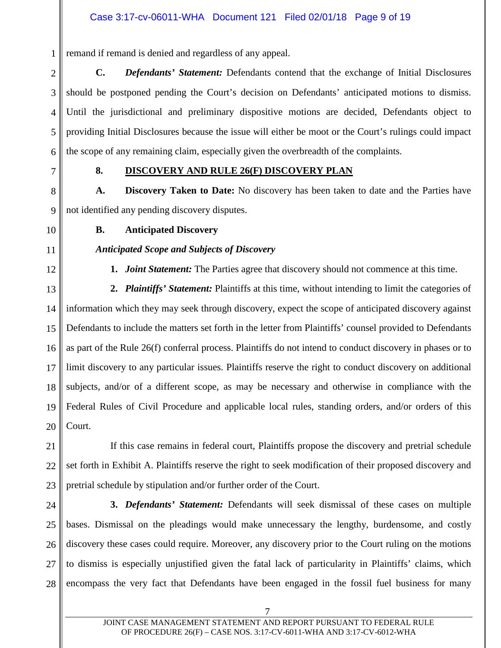1 remand if remand is denied and regardless of any appeal.

2 3 4 5 6 **C.** *Defendants' Statement:* Defendants contend that the exchange of Initial Disclosures should be postponed pending the Court's decision on Defendants' anticipated motions to dismiss. Until the jurisdictional and preliminary dispositive motions are decided, Defendants object to providing Initial Disclosures because the issue will either be moot or the Court's rulings could impact the scope of any remaining claim, especially given the overbreadth of the complaints.

7

### **8. DISCOVERY AND RULE 26(F) DISCOVERY PLAN**

8 9 **A. Discovery Taken to Date:** No discovery has been taken to date and the Parties have not identified any pending discovery disputes.

10

### **B. Anticipated Discovery**

*Anticipated Scope and Subjects of Discovery*

### 11

12

**1.** *Joint Statement:* The Parties agree that discovery should not commence at this time.

13 14 15 16 17 18 19 20 **2.** *Plaintiffs' Statement:* Plaintiffs at this time, without intending to limit the categories of information which they may seek through discovery, expect the scope of anticipated discovery against Defendants to include the matters set forth in the letter from Plaintiffs' counsel provided to Defendants as part of the Rule 26(f) conferral process. Plaintiffs do not intend to conduct discovery in phases or to limit discovery to any particular issues. Plaintiffs reserve the right to conduct discovery on additional subjects, and/or of a different scope, as may be necessary and otherwise in compliance with the Federal Rules of Civil Procedure and applicable local rules, standing orders, and/or orders of this Court.

21 22 23 If this case remains in federal court, Plaintiffs propose the discovery and pretrial schedule set forth in Exhibit A. Plaintiffs reserve the right to seek modification of their proposed discovery and pretrial schedule by stipulation and/or further order of the Court.

24 25 26 27 28 **3.** *Defendants' Statement:* Defendants will seek dismissal of these cases on multiple bases. Dismissal on the pleadings would make unnecessary the lengthy, burdensome, and costly discovery these cases could require. Moreover, any discovery prior to the Court ruling on the motions to dismiss is especially unjustified given the fatal lack of particularity in Plaintiffs' claims, which encompass the very fact that Defendants have been engaged in the fossil fuel business for many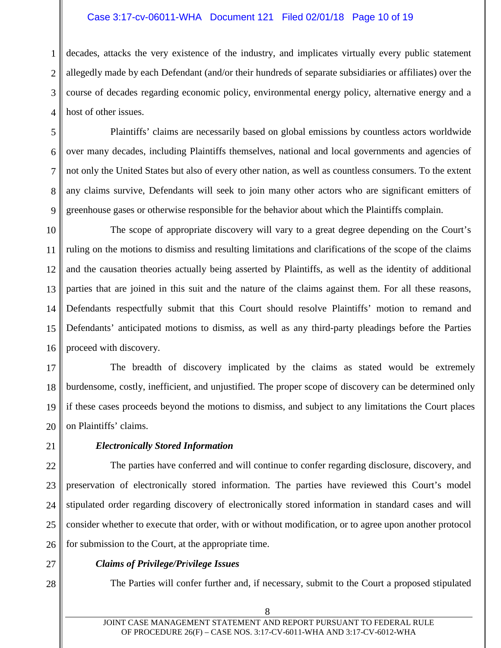#### Case 3:17-cv-06011-WHA Document 121 Filed 02/01/18 Page 10 of 19

1 2 3 4 decades, attacks the very existence of the industry, and implicates virtually every public statement allegedly made by each Defendant (and/or their hundreds of separate subsidiaries or affiliates) over the course of decades regarding economic policy, environmental energy policy, alternative energy and a host of other issues.

5 6 7 8 9 Plaintiffs' claims are necessarily based on global emissions by countless actors worldwide over many decades, including Plaintiffs themselves, national and local governments and agencies of not only the United States but also of every other nation, as well as countless consumers. To the extent any claims survive, Defendants will seek to join many other actors who are significant emitters of greenhouse gases or otherwise responsible for the behavior about which the Plaintiffs complain.

10 11 12 13 14 15 16 The scope of appropriate discovery will vary to a great degree depending on the Court's ruling on the motions to dismiss and resulting limitations and clarifications of the scope of the claims and the causation theories actually being asserted by Plaintiffs, as well as the identity of additional parties that are joined in this suit and the nature of the claims against them. For all these reasons, Defendants respectfully submit that this Court should resolve Plaintiffs' motion to remand and Defendants' anticipated motions to dismiss, as well as any third-party pleadings before the Parties proceed with discovery.

17 18 19 20 The breadth of discovery implicated by the claims as stated would be extremely burdensome, costly, inefficient, and unjustified. The proper scope of discovery can be determined only if these cases proceeds beyond the motions to dismiss, and subject to any limitations the Court places on Plaintiffs' claims.

21

#### *Electronically Stored Information*

22 23 24 25 26 The parties have conferred and will continue to confer regarding disclosure, discovery, and preservation of electronically stored information. The parties have reviewed this Court's model stipulated order regarding discovery of electronically stored information in standard cases and will consider whether to execute that order, with or without modification, or to agree upon another protocol for submission to the Court, at the appropriate time.

27

28

# *Claims of Privilege/Privilege Issues*

The Parties will confer further and, if necessary, submit to the Court a proposed stipulated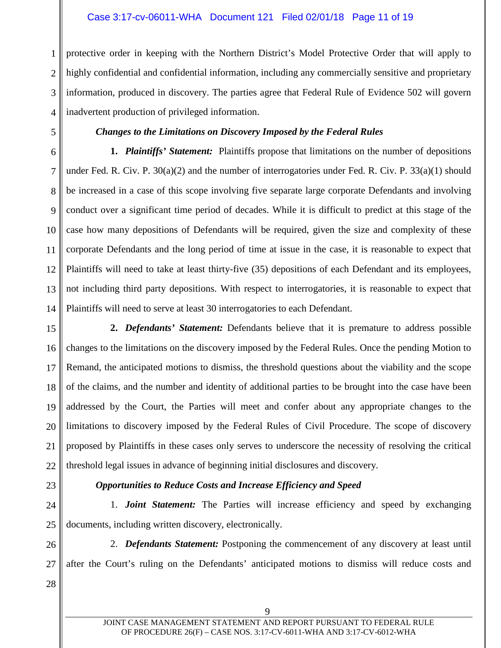#### Case 3:17-cv-06011-WHA Document 121 Filed 02/01/18 Page 11 of 19

1 2 3 4 protective order in keeping with the Northern District's Model Protective Order that will apply to highly confidential and confidential information, including any commercially sensitive and proprietary information, produced in discovery. The parties agree that Federal Rule of Evidence 502 will govern inadvertent production of privileged information.

5

### *Changes to the Limitations on Discovery Imposed by the Federal Rules*

6 7 8 9 10 11 12 13 14 **1.** *Plaintiffs' Statement:*Plaintiffs propose that limitations on the number of depositions under Fed. R. Civ. P. 30(a)(2) and the number of interrogatories under Fed. R. Civ. P. 33(a)(1) should be increased in a case of this scope involving five separate large corporate Defendants and involving conduct over a significant time period of decades. While it is difficult to predict at this stage of the case how many depositions of Defendants will be required, given the size and complexity of these corporate Defendants and the long period of time at issue in the case, it is reasonable to expect that Plaintiffs will need to take at least thirty-five (35) depositions of each Defendant and its employees, not including third party depositions. With respect to interrogatories, it is reasonable to expect that Plaintiffs will need to serve at least 30 interrogatories to each Defendant.

15 16 17 18 19 20 21 22 **2.** *Defendants' Statement:* Defendants believe that it is premature to address possible changes to the limitations on the discovery imposed by the Federal Rules. Once the pending Motion to Remand, the anticipated motions to dismiss, the threshold questions about the viability and the scope of the claims, and the number and identity of additional parties to be brought into the case have been addressed by the Court, the Parties will meet and confer about any appropriate changes to the limitations to discovery imposed by the Federal Rules of Civil Procedure. The scope of discovery proposed by Plaintiffs in these cases only serves to underscore the necessity of resolving the critical threshold legal issues in advance of beginning initial disclosures and discovery.

23

### *Opportunities to Reduce Costs and Increase Efficiency and Speed*

24 25 1. *Joint Statement:* The Parties will increase efficiency and speed by exchanging documents, including written discovery, electronically.

26 27 28 2. *Defendants Statement:* Postponing the commencement of any discovery at least until after the Court's ruling on the Defendants' anticipated motions to dismiss will reduce costs and

9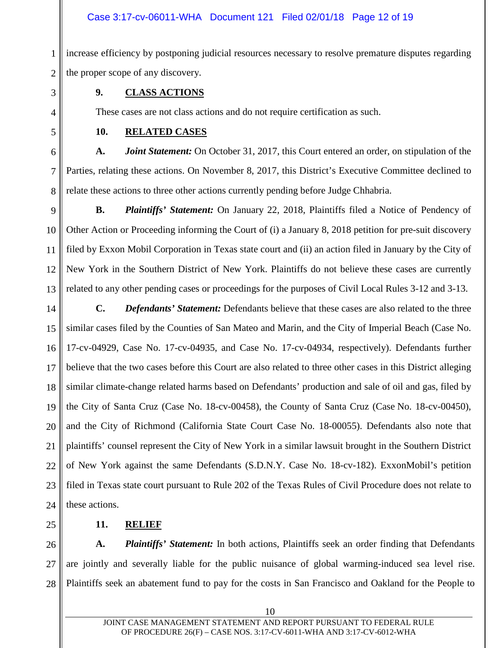#### Case 3:17-cv-06011-WHA Document 121 Filed 02/01/18 Page 12 of 19

1 2 increase efficiency by postponing judicial resources necessary to resolve premature disputes regarding the proper scope of any discovery.

3

4

5

### **9. CLASS ACTIONS**

These cases are not class actions and do not require certification as such.

### **10. RELATED CASES**

6 7 8 **A.** *Joint Statement:* On October 31, 2017, this Court entered an order, on stipulation of the Parties, relating these actions. On November 8, 2017, this District's Executive Committee declined to relate these actions to three other actions currently pending before Judge Chhabria.

9

10 11 12 13 **B.** *Plaintiffs' Statement:* On January 22, 2018, Plaintiffs filed a Notice of Pendency of Other Action or Proceeding informing the Court of (i) a January 8, 2018 petition for pre-suit discovery filed by Exxon Mobil Corporation in Texas state court and (ii) an action filed in January by the City of New York in the Southern District of New York. Plaintiffs do not believe these cases are currently related to any other pending cases or proceedings for the purposes of Civil Local Rules 3-12 and 3-13.

- 14 15 16 17 18 19 20 21 22 23 24 **C.** *Defendants' Statement:* Defendants believe that these cases are also related to the three similar cases filed by the Counties of San Mateo and Marin, and the City of Imperial Beach (Case No. 17-cv-04929, Case No. 17-cv-04935, and Case No. 17-cv-04934, respectively). Defendants further believe that the two cases before this Court are also related to three other cases in this District alleging similar climate-change related harms based on Defendants' production and sale of oil and gas, filed by the City of Santa Cruz (Case No. 18-cv-00458), the County of Santa Cruz (Case No. 18-cv-00450), and the City of Richmond (California State Court Case No. 18-00055). Defendants also note that plaintiffs' counsel represent the City of New York in a similar lawsuit brought in the Southern District of New York against the same Defendants (S.D.N.Y. Case No. 18-cv-182). ExxonMobil's petition filed in Texas state court pursuant to Rule 202 of the Texas Rules of Civil Procedure does not relate to these actions.
- 25

### **11. RELIEF**

26 27 28 **A.** *Plaintiffs' Statement:* In both actions, Plaintiffs seek an order finding that Defendants are jointly and severally liable for the public nuisance of global warming-induced sea level rise. Plaintiffs seek an abatement fund to pay for the costs in San Francisco and Oakland for the People to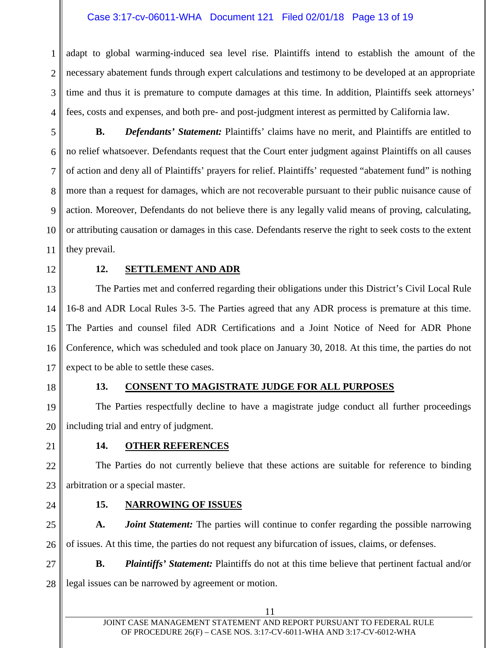#### Case 3:17-cv-06011-WHA Document 121 Filed 02/01/18 Page 13 of 19

1 2 3 4 adapt to global warming-induced sea level rise. Plaintiffs intend to establish the amount of the necessary abatement funds through expert calculations and testimony to be developed at an appropriate time and thus it is premature to compute damages at this time. In addition, Plaintiffs seek attorneys' fees, costs and expenses, and both pre- and post-judgment interest as permitted by California law.

5 6 7 8 9 10 11 **B.** *Defendants' Statement:* Plaintiffs' claims have no merit, and Plaintiffs are entitled to no relief whatsoever. Defendants request that the Court enter judgment against Plaintiffs on all causes of action and deny all of Plaintiffs' prayers for relief. Plaintiffs' requested "abatement fund" is nothing more than a request for damages, which are not recoverable pursuant to their public nuisance cause of action. Moreover, Defendants do not believe there is any legally valid means of proving, calculating, or attributing causation or damages in this case. Defendants reserve the right to seek costs to the extent they prevail.

12

#### **12. SETTLEMENT AND ADR**

13 14 15 16 17 The Parties met and conferred regarding their obligations under this District's Civil Local Rule 16-8 and ADR Local Rules 3-5. The Parties agreed that any ADR process is premature at this time. The Parties and counsel filed ADR Certifications and a Joint Notice of Need for ADR Phone Conference, which was scheduled and took place on January 30, 2018. At this time, the parties do not expect to be able to settle these cases.

18

#### **13. CONSENT TO MAGISTRATE JUDGE FOR ALL PURPOSES**

19 20 The Parties respectfully decline to have a magistrate judge conduct all further proceedings including trial and entry of judgment.

21

#### **14. OTHER REFERENCES**

22 23 The Parties do not currently believe that these actions are suitable for reference to binding arbitration or a special master.

24

#### **15. NARROWING OF ISSUES**

25 26 **A.** *Joint Statement:* The parties will continue to confer regarding the possible narrowing of issues. At this time, the parties do not request any bifurcation of issues, claims, or defenses.

27 28 **B.** *Plaintiffs' Statement:* Plaintiffs do not at this time believe that pertinent factual and/or legal issues can be narrowed by agreement or motion.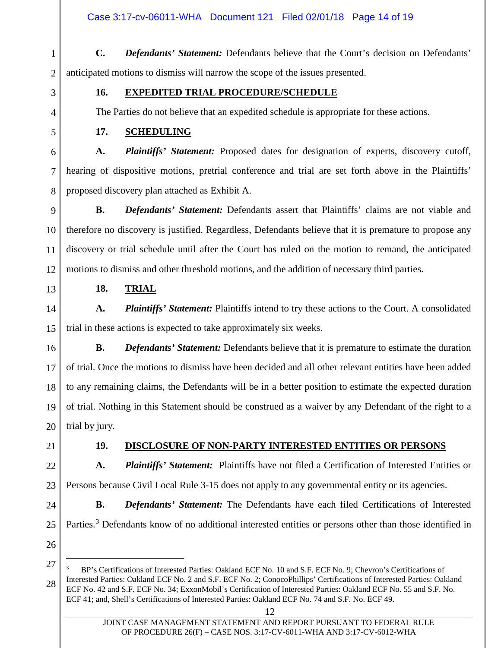1 2 **C.** *Defendants' Statement:* Defendants believe that the Court's decision on Defendants' anticipated motions to dismiss will narrow the scope of the issues presented.

3

4

5

### **16. EXPEDITED TRIAL PROCEDURE/SCHEDULE**

The Parties do not believe that an expedited schedule is appropriate for these actions.

### **17. SCHEDULING**

6 7 8 **A.** *Plaintiffs' Statement:* Proposed dates for designation of experts, discovery cutoff, hearing of dispositive motions, pretrial conference and trial are set forth above in the Plaintiffs' proposed discovery plan attached as Exhibit A.

9 10 11 12 **B.** *Defendants' Statement:* Defendants assert that Plaintiffs' claims are not viable and therefore no discovery is justified. Regardless, Defendants believe that it is premature to propose any discovery or trial schedule until after the Court has ruled on the motion to remand, the anticipated motions to dismiss and other threshold motions, and the addition of necessary third parties.

13

### **18. TRIAL**

14 15 **A.** *Plaintiffs' Statement:* Plaintiffs intend to try these actions to the Court. A consolidated trial in these actions is expected to take approximately six weeks.

16 17 18 19 20 **B.** *Defendants' Statement:* Defendants believe that it is premature to estimate the duration of trial. Once the motions to dismiss have been decided and all other relevant entities have been added to any remaining claims, the Defendants will be in a better position to estimate the expected duration of trial. Nothing in this Statement should be construed as a waiver by any Defendant of the right to a trial by jury.

21

## **19. DISCLOSURE OF NON-PARTY INTERESTED ENTITIES OR PERSONS**

**B.** *Defendants' Statement:* The Defendants have each filed Certifications of Interested

22 23 **A.** *Plaintiffs' Statement:*Plaintiffs have not filed a Certification of Interested Entities or Persons because Civil Local Rule 3-15 does not apply to any governmental entity or its agencies.

Parties.<sup>[3](#page-13-0)</sup> Defendants know of no additional interested entities or persons other than those identified in

24

25

26 27

<span id="page-13-0"></span><sup>28</sup>  <sup>3</sup> BP's Certifications of Interested Parties: Oakland ECF No. 10 and S.F. ECF No. 9; Chevron's Certifications of Interested Parties: Oakland ECF No. 2 and S.F. ECF No. 2; ConocoPhillips' Certifications of Interested Parties: Oakland ECF No. 42 and S.F. ECF No. 34; ExxonMobil's Certification of Interested Parties: Oakland ECF No. 55 and S.F. No. ECF 41; and, Shell's Certifications of Interested Parties: Oakland ECF No. 74 and S.F. No. ECF 49.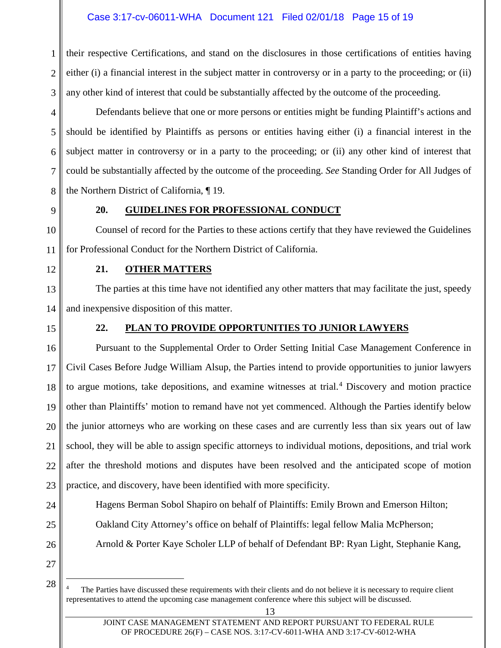#### Case 3:17-cv-06011-WHA Document 121 Filed 02/01/18 Page 15 of 19

1 2 3 their respective Certifications, and stand on the disclosures in those certifications of entities having either (i) a financial interest in the subject matter in controversy or in a party to the proceeding; or (ii) any other kind of interest that could be substantially affected by the outcome of the proceeding.

4 5 6 7 8 Defendants believe that one or more persons or entities might be funding Plaintiff's actions and should be identified by Plaintiffs as persons or entities having either (i) a financial interest in the subject matter in controversy or in a party to the proceeding; or (ii) any other kind of interest that could be substantially affected by the outcome of the proceeding. *See* Standing Order for All Judges of the Northern District of California, ¶ 19.

9

#### **20. GUIDELINES FOR PROFESSIONAL CONDUCT**

10 11 Counsel of record for the Parties to these actions certify that they have reviewed the Guidelines for Professional Conduct for the Northern District of California.

12

#### **21. OTHER MATTERS**

13 14 The parties at this time have not identified any other matters that may facilitate the just, speedy and inexpensive disposition of this matter.

15

#### **22. PLAN TO PROVIDE OPPORTUNITIES TO JUNIOR LAWYERS**

16 17 18 19 20 21 22 23 Pursuant to the Supplemental Order to Order Setting Initial Case Management Conference in Civil Cases Before Judge William Alsup, the Parties intend to provide opportunities to junior lawyers to argue motions, take depositions, and examine witnesses at trial.<sup>[4](#page-14-0)</sup> Discovery and motion practice other than Plaintiffs' motion to remand have not yet commenced. Although the Parties identify below the junior attorneys who are working on these cases and are currently less than six years out of law school, they will be able to assign specific attorneys to individual motions, depositions, and trial work after the threshold motions and disputes have been resolved and the anticipated scope of motion practice, and discovery, have been identified with more specificity.

24

25

26

Hagens Berman Sobol Shapiro on behalf of Plaintiffs: Emily Brown and Emerson Hilton; Oakland City Attorney's office on behalf of Plaintiffs: legal fellow Malia McPherson; Arnold & Porter Kaye Scholer LLP of behalf of Defendant BP: Ryan Light, Stephanie Kang,

27

<span id="page-14-0"></span>28

The Parties have discussed these requirements with their clients and do not believe it is necessary to require client representatives to attend the upcoming case management conference where this subject will be discussed.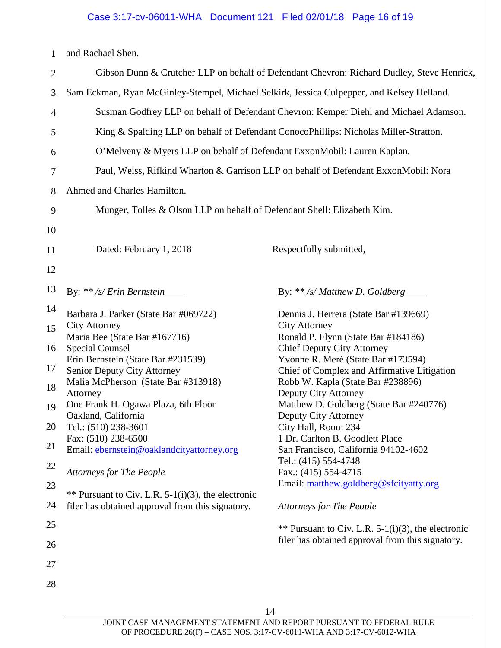# Case 3:17-cv-06011-WHA Document 121 Filed 02/01/18 Page 16 of 19

 $\mathbb{I}$ 

|                | and Rachael Shen.                                                                                                                           |                                                                                      |  |
|----------------|---------------------------------------------------------------------------------------------------------------------------------------------|--------------------------------------------------------------------------------------|--|
| $\overline{2}$ | Gibson Dunn & Crutcher LLP on behalf of Defendant Chevron: Richard Dudley, Steve Henrick,                                                   |                                                                                      |  |
| 3              | Sam Eckman, Ryan McGinley-Stempel, Michael Selkirk, Jessica Culpepper, and Kelsey Helland.                                                  |                                                                                      |  |
|                |                                                                                                                                             |                                                                                      |  |
| 4              |                                                                                                                                             | Susman Godfrey LLP on behalf of Defendant Chevron: Kemper Diehl and Michael Adamson. |  |
| 5              | King & Spalding LLP on behalf of Defendant ConocoPhillips: Nicholas Miller-Stratton.                                                        |                                                                                      |  |
| 6              | O'Melveny & Myers LLP on behalf of Defendant ExxonMobil: Lauren Kaplan.                                                                     |                                                                                      |  |
| 7              | Paul, Weiss, Rifkind Wharton & Garrison LLP on behalf of Defendant ExxonMobil: Nora                                                         |                                                                                      |  |
| 8              | Ahmed and Charles Hamilton.                                                                                                                 |                                                                                      |  |
| 9              | Munger, Tolles & Olson LLP on behalf of Defendant Shell: Elizabeth Kim.                                                                     |                                                                                      |  |
| 10             |                                                                                                                                             |                                                                                      |  |
| 11             | Dated: February 1, 2018                                                                                                                     | Respectfully submitted,                                                              |  |
| 12             |                                                                                                                                             |                                                                                      |  |
| 13             | By: ** /s/ Erin Bernstein                                                                                                                   | By: $**/s/Mat$ D. Goldberg                                                           |  |
| 14             |                                                                                                                                             |                                                                                      |  |
| 15             | Barbara J. Parker (State Bar #069722)<br><b>City Attorney</b>                                                                               | Dennis J. Herrera (State Bar #139669)<br><b>City Attorney</b>                        |  |
|                | Maria Bee (State Bar #167716)                                                                                                               | Ronald P. Flynn (State Bar #184186)                                                  |  |
| 16             | <b>Special Counsel</b>                                                                                                                      | <b>Chief Deputy City Attorney</b>                                                    |  |
| 17             | Erin Bernstein (State Bar #231539)                                                                                                          | Yvonne R. Meré (State Bar #173594)                                                   |  |
|                | Senior Deputy City Attorney                                                                                                                 | Chief of Complex and Affirmative Litigation                                          |  |
| 18             | Malia McPherson (State Bar #313918)<br>Attorney                                                                                             | Robb W. Kapla (State Bar #238896)<br>Deputy City Attorney                            |  |
| 19             | One Frank H. Ogawa Plaza, 6th Floor                                                                                                         | Matthew D. Goldberg (State Bar #240776)                                              |  |
|                | Oakland, California                                                                                                                         | Deputy City Attorney                                                                 |  |
| 20             | Tel.: (510) 238-3601                                                                                                                        | City Hall, Room 234                                                                  |  |
|                | Fax: (510) 238-6500                                                                                                                         | 1 Dr. Carlton B. Goodlett Place                                                      |  |
| 21             | Email: ebernstein@oaklandcityattorney.org                                                                                                   | San Francisco, California 94102-4602                                                 |  |
| 22             |                                                                                                                                             | Tel.: (415) 554-4748                                                                 |  |
|                | <b>Attorneys for The People</b>                                                                                                             | Fax.: (415) 554-4715                                                                 |  |
| 23             | ** Pursuant to Civ. L.R. 5-1(i)(3), the electronic                                                                                          | Email: matthew.goldberg@sfcityatty.org                                               |  |
| 24             | filer has obtained approval from this signatory.                                                                                            | <b>Attorneys for The People</b>                                                      |  |
| 25             |                                                                                                                                             | ** Pursuant to Civ. L.R. 5-1(i)(3), the electronic                                   |  |
| 26             |                                                                                                                                             | filer has obtained approval from this signatory.                                     |  |
| 27             |                                                                                                                                             |                                                                                      |  |
| 28             |                                                                                                                                             |                                                                                      |  |
|                |                                                                                                                                             |                                                                                      |  |
|                |                                                                                                                                             | 14                                                                                   |  |
|                | JOINT CASE MANAGEMENT STATEMENT AND REPORT PURSUANT TO FEDERAL RULE<br>OF PROCEDURE 26(F) - CASE NOS. 3:17-CV-6011-WHA AND 3:17-CV-6012-WHA |                                                                                      |  |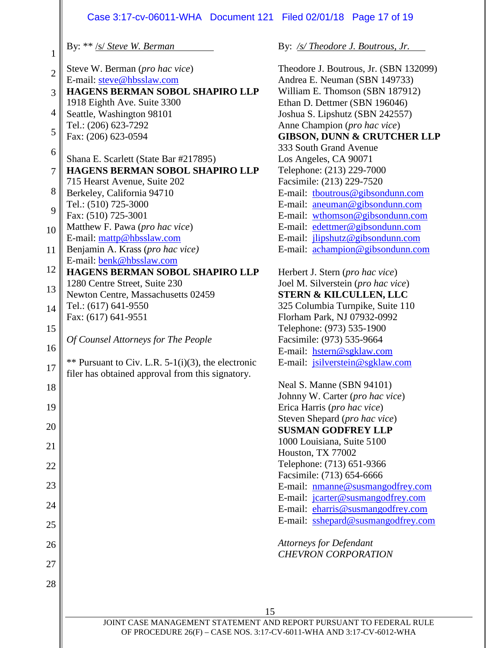#### Case 3:17-cv-06011-WHA Document 121 Filed 02/01/18 Page 17 of 19

By: \*\* /s/ *Steve W. Berman*

- 2 Steve W. Berman (*pro hac vice*) E-mail: [steve@hbsslaw.com](mailto:steve@hbsslaw.com)
- 3 **HAGENS BERMAN SOBOL SHAPIRO LLP** 1918 Eighth Ave. Suite 3300
- 4 Seattle, Washington 98101 Tel.: (206) 623-7292
- 5 Fax: (206) 623-0594
- 6 7 Shana E. Scarlett (State Bar #217895) **HAGENS BERMAN SOBOL SHAPIRO LLP**
- 8 715 Hearst Avenue, Suite 202
- 9 Berkeley, California 94710 Tel.: (510) 725-3000
- Fax: (510) 725-3001
- 10 Matthew F. Pawa (*pro hac vice*) E-mail: [mattp@hbsslaw.com](mailto:mattp@hbsslaw.com)
- 11 Benjamin A. Krass (*pro hac vice)* E-mail: [benk@hbsslaw.com](mailto:benk@hbsslaw.com)
- 12 **HAGENS BERMAN SOBOL SHAPIRO LLP** 1280 Centre Street, Suite 230
- 13 Newton Centre, Massachusetts 02459 Tel.: (617) 641-9550
- 14 Fax: (617) 641-9551
- 15

16

18

19

20

21

22

23

24

25

26

27

28

1

- *Of Counsel Attorneys for The People*
- 17 \*\* Pursuant to Civ. L.R.  $5-1(i)(3)$ , the electronic filer has obtained approval from this signatory.

By: */s/ Theodore J. Boutrous, Jr.*

Theodore J. Boutrous, Jr. (SBN 132099) Andrea E. Neuman (SBN 149733) William E. Thomson (SBN 187912) Ethan D. Dettmer (SBN 196046) Joshua S. Lipshutz (SBN 242557) Anne Champion (*pro hac vice*) **GIBSON, DUNN & CRUTCHER LLP** 333 South Grand Avenue Los Angeles, CA 90071 Telephone: (213) 229-7000 Facsimile: (213) 229-7520 E-mail: [tboutrous@gibsondunn.com](mailto:tboutrous@gibsondunn.com) E-mail: [aneuman@gibsondunn.com](mailto:aneuman@gibsondunn.com) E-mail: [wthomson@gibsondunn.com](mailto:wthomson@gibsondunn.com) E-mail: [edettmer@gibsondunn.com](mailto:edettmer@gibsondunn.com) E-mail: [jlipshutz@gibsondunn.com](mailto:jlipshutz@gibsondunn.com) E-mail: [achampion@gibsondunn.com](mailto:achampion@gibsondunn.com)

Herbert J. Stern (*pro hac vice*) Joel M. Silverstein (*pro hac vice*) **STERN & KILCULLEN, LLC** 325 Columbia Turnpike, Suite 110 Florham Park, NJ 07932-0992 Telephone: (973) 535-1900 Facsimile: (973) 535-9664 E-mail: [hstern@sgklaw.com](mailto:hstern@sgklaw.com) E-mail: [jsilverstein@sgklaw.com](mailto:jsilverstein@sgklaw.com)

Neal S. Manne (SBN 94101) Johnny W. Carter (*pro hac vice*) Erica Harris (*pro hac vice*) Steven Shepard (*pro hac vice*) **SUSMAN GODFREY LLP** 1000 Louisiana, Suite 5100 Houston, TX 77002 Telephone: (713) 651-9366 Facsimile: (713) 654-6666 E-mail: [nmanne@susmangodfrey.com](mailto:nmanne@susmangodfrey.com) E-mail: [jcarter@susmangodfrey.com](mailto:jcarter@susmangodfrey.com) E-mail: [eharris@susmangodfrey.com](mailto:eharris@susmangodfrey.com) E-mail: [sshepard@susmangodfrey.com](mailto:sshepard@susmangodfrey.com)

*Attorneys for Defendant CHEVRON CORPORATION*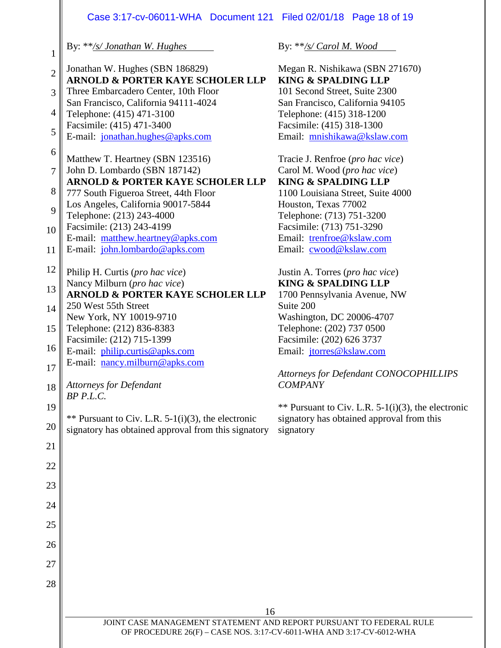### Case 3:17-cv-06011-WHA Document 121 Filed 02/01/18 Page 18 of 19

By: \*\**/s/ Jonathan W. Hughes*

2 Jonathan W. Hughes (SBN 186829)

**ARNOLD & PORTER KAYE SCHOLER LLP**

- 3 Three Embarcadero Center, 10th Floor San Francisco, California 94111-4024
- 4 Telephone: (415) 471-3100 Facsimile: (415) 471-3400

1

5 E-mail: [jonathan.hughes@apks.com](mailto:jonathan.hughes@apks.com)

6 Matthew T. Heartney (SBN 123516)

#### 7 John D. Lombardo (SBN 187142) **ARNOLD & PORTER KAYE SCHOLER LLP**

- 8 777 South Figueroa Street, 44th Floor Los Angeles, California 90017-5844
- $\mathbf{Q}$ Telephone: (213) 243-4000
- 10 Facsimile: (213) 243-4199
- E-mail: [matthew.heartney@apks.com](mailto:matthew.heartney@apks.com)
- 11 E-mail: [john.lombardo@apks.com](mailto:john.lombardo@apks.com)
- 12 Philip H. Curtis (*pro hac vice*) Nancy Milburn (*pro hac vice*)
- 13 **ARNOLD & PORTER KAYE SCHOLER LLP**
- 14 250 West 55th Street New York, NY 10019-9710
- 15 Telephone: (212) 836-8383
- 16 17 Facsimile: (212) 715-1399 E-mail: [philip.curtis@apks.com](mailto:philip.curtis@apks.com) E-mail: [nancy.milburn@apks.com](mailto:nancy.milburn@apks.com)
- 18 *Attorneys for Defendant BP P.L.C.*

21

22

23

24

25

26

27

28

19 20  $**$  Pursuant to Civ. L.R. 5-1(i)(3), the electronic signatory has obtained approval from this signatory

By: \*\**/s/ Carol M. Wood*

Megan R. Nishikawa (SBN 271670) **KING & SPALDING LLP** 101 Second Street, Suite 2300 San Francisco, California 94105 Telephone: (415) 318-1200 Facsimile: (415) 318-1300 Email: [mnishikawa@kslaw.com](mailto:mnishikawa@kslaw.com)

Tracie J. Renfroe (*pro hac vice*) Carol M. Wood (*pro hac vice*) **KING & SPALDING LLP** 1100 Louisiana Street, Suite 4000 Houston, Texas 77002

Telephone: (713) 751-3200 Facsimile: (713) 751-3290 Email: [trenfroe@kslaw.com](mailto:trenfroe@kslaw.com) Email: [cwood@kslaw.com](mailto:cwood@kslaw.com)

Justin A. Torres (*pro hac vice*) **KING & SPALDING LLP** 1700 Pennsylvania Avenue, NW Suite 200 Washington, DC 20006-4707 Telephone: (202) 737 0500 Facsimile: (202) 626 3737 Email: [jtorres@kslaw.com](mailto:jtorres@kslaw.com)

### *Attorneys for Defendant CONOCOPHILLIPS COMPANY*

\*\* Pursuant to Civ. L.R.  $5-1(i)(3)$ , the electronic signatory has obtained approval from this signatory